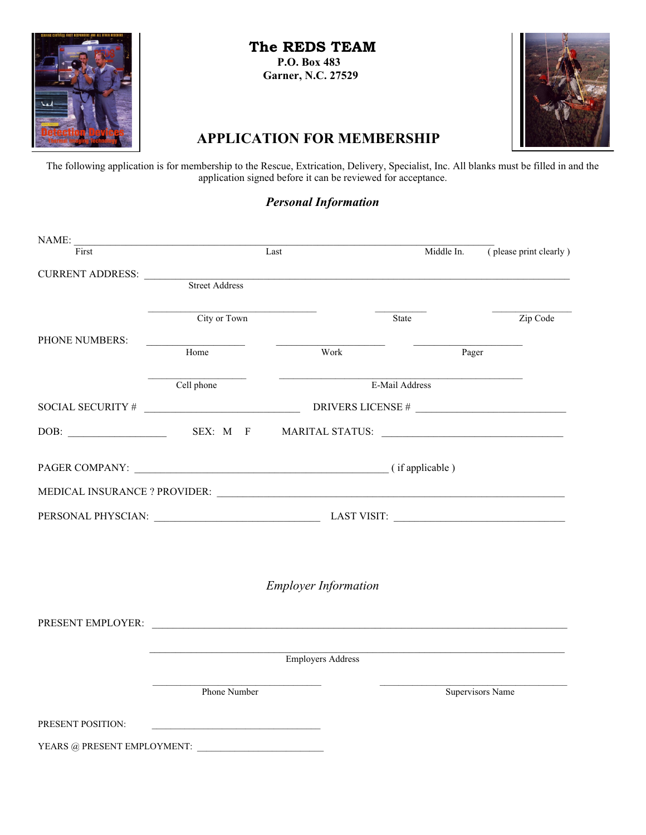

 **The REDS TEAM P.O. Box 483**

 **Garner, N.C. 27529**



# **APPLICATION FOR MEMBERSHIP**

The following application is for membership to the Rescue, Extrication, Delivery, Specialist, Inc. All blanks must be filled in and the application signed before it can be reviewed for acceptance.

## *Personal Information*

| NAME:                           | <u> 1989 - Johann John Stone, market fan it ferskearre fan it ferskearre fan it ferskearre fan it ferskearre fan i</u> |                             |                   |                                   |
|---------------------------------|------------------------------------------------------------------------------------------------------------------------|-----------------------------|-------------------|-----------------------------------|
| First                           |                                                                                                                        | Last                        | Middle In.        | $\sqrt{\ }$ please print clearly) |
| CURRENT ADDRESS: Street Address |                                                                                                                        |                             |                   |                                   |
|                                 |                                                                                                                        |                             |                   |                                   |
|                                 | City or Town                                                                                                           |                             | State             | Zip Code                          |
| PHONE NUMBERS:                  | Home                                                                                                                   | Work                        | Pager             |                                   |
|                                 | Cell phone                                                                                                             |                             | E-Mail Address    |                                   |
| SOCIAL SECURITY #               |                                                                                                                        |                             | DRIVERS LICENSE # |                                   |
|                                 |                                                                                                                        |                             |                   |                                   |
|                                 |                                                                                                                        |                             |                   |                                   |
|                                 |                                                                                                                        |                             |                   |                                   |
|                                 |                                                                                                                        |                             |                   |                                   |
|                                 |                                                                                                                        |                             |                   |                                   |
|                                 |                                                                                                                        | <b>Employer Information</b> |                   |                                   |
|                                 |                                                                                                                        |                             |                   |                                   |
|                                 |                                                                                                                        | <b>Employers Address</b>    |                   |                                   |
|                                 | Phone Number                                                                                                           |                             |                   | Supervisors Name                  |
| PRESENT POSITION:               |                                                                                                                        |                             |                   |                                   |
|                                 |                                                                                                                        |                             |                   |                                   |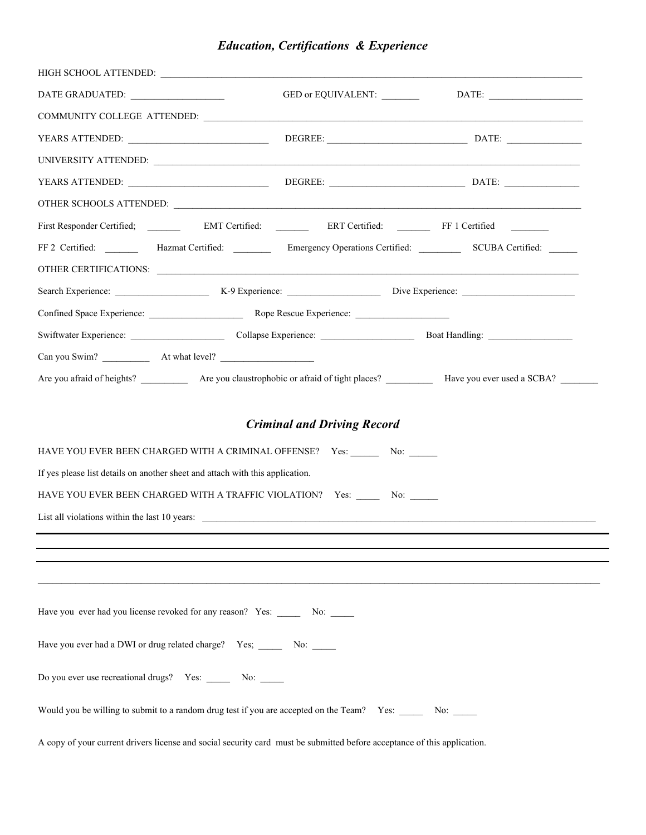|  | <b>Education, Certifications &amp; Experience</b> |  |
|--|---------------------------------------------------|--|
|--|---------------------------------------------------|--|

| YEARS ATTENDED:                                                               |  |                                                                                                                          |                                                                                                                            |
|-------------------------------------------------------------------------------|--|--------------------------------------------------------------------------------------------------------------------------|----------------------------------------------------------------------------------------------------------------------------|
|                                                                               |  |                                                                                                                          |                                                                                                                            |
|                                                                               |  |                                                                                                                          |                                                                                                                            |
|                                                                               |  |                                                                                                                          |                                                                                                                            |
|                                                                               |  |                                                                                                                          |                                                                                                                            |
|                                                                               |  |                                                                                                                          | FF 2 Certified: __________ Hazmat Certified: __________ Emergency Operations Certified: _________ SCUBA Certified: _______ |
|                                                                               |  |                                                                                                                          |                                                                                                                            |
|                                                                               |  |                                                                                                                          |                                                                                                                            |
|                                                                               |  |                                                                                                                          |                                                                                                                            |
|                                                                               |  |                                                                                                                          |                                                                                                                            |
|                                                                               |  |                                                                                                                          |                                                                                                                            |
|                                                                               |  |                                                                                                                          |                                                                                                                            |
|                                                                               |  | <b>Criminal and Driving Record</b>                                                                                       |                                                                                                                            |
|                                                                               |  | HAVE YOU EVER BEEN CHARGED WITH A CRIMINAL OFFENSE? Yes: ________ No: ______                                             |                                                                                                                            |
| If yes please list details on another sheet and attach with this application. |  |                                                                                                                          |                                                                                                                            |
|                                                                               |  | HAVE YOU EVER BEEN CHARGED WITH A TRAFFIC VIOLATION? Yes: _______ No: ______                                             |                                                                                                                            |
|                                                                               |  |                                                                                                                          |                                                                                                                            |
|                                                                               |  |                                                                                                                          |                                                                                                                            |
|                                                                               |  |                                                                                                                          |                                                                                                                            |
|                                                                               |  |                                                                                                                          |                                                                                                                            |
| Have you ever had you license revoked for any reason? Yes: _______ No: _____  |  |                                                                                                                          |                                                                                                                            |
| Have you ever had a DWI or drug related charge? Yes; _______ No: _____        |  |                                                                                                                          |                                                                                                                            |
| Do you ever use recreational drugs? Yes: _______ No: ______                   |  |                                                                                                                          |                                                                                                                            |
|                                                                               |  | Would you be willing to submit to a random drug test if you are accepted on the Team? Yes: No:                           |                                                                                                                            |
|                                                                               |  | A copy of your current drivers license and social security card must be submitted before acceptance of this application. |                                                                                                                            |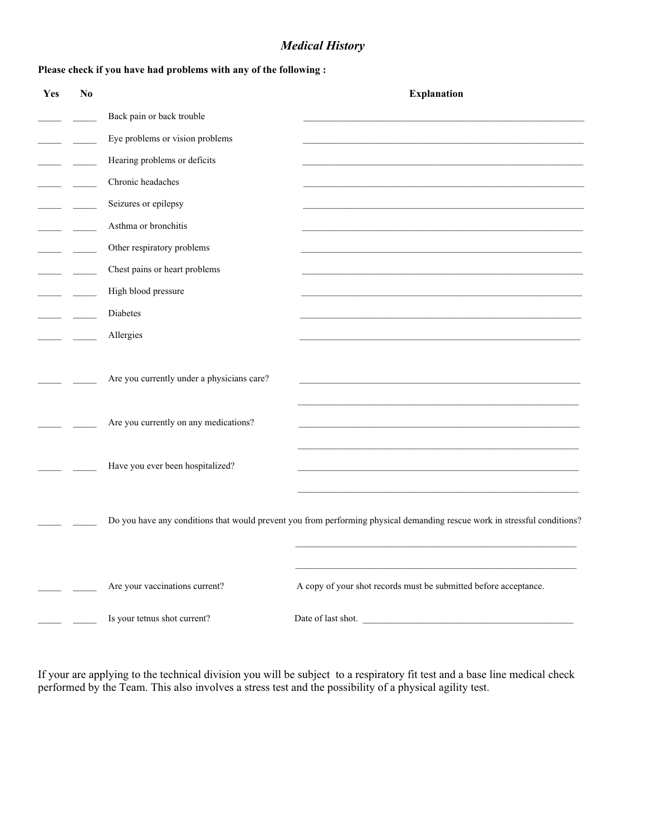### *Medical History*

#### **Please check if you have had problems with any of the following :**

| Yes | N <sub>0</sub> |                                            | <b>Explanation</b>                                                                                                        |
|-----|----------------|--------------------------------------------|---------------------------------------------------------------------------------------------------------------------------|
|     |                | Back pain or back trouble                  |                                                                                                                           |
|     |                | Eye problems or vision problems            |                                                                                                                           |
|     |                | Hearing problems or deficits               |                                                                                                                           |
|     |                | Chronic headaches                          |                                                                                                                           |
|     |                | Seizures or epilepsy                       |                                                                                                                           |
|     |                | Asthma or bronchitis                       |                                                                                                                           |
|     |                | Other respiratory problems                 |                                                                                                                           |
|     |                | Chest pains or heart problems              |                                                                                                                           |
|     |                | High blood pressure                        |                                                                                                                           |
|     |                | Diabetes                                   |                                                                                                                           |
|     |                | Allergies                                  |                                                                                                                           |
|     |                | Are you currently under a physicians care? |                                                                                                                           |
|     |                | Are you currently on any medications?      |                                                                                                                           |
|     |                | Have you ever been hospitalized?           |                                                                                                                           |
|     |                |                                            | Do you have any conditions that would prevent you from performing physical demanding rescue work in stressful conditions? |
|     |                | Are your vaccinations current?             | A copy of your shot records must be submitted before acceptance.                                                          |
|     |                | Is your tetnus shot current?               |                                                                                                                           |

If your are applying to the technical division you will be subject to a respiratory fit test and a base line medical check performed by the Team. This also involves a stress test and the possibility of a physical agility test.